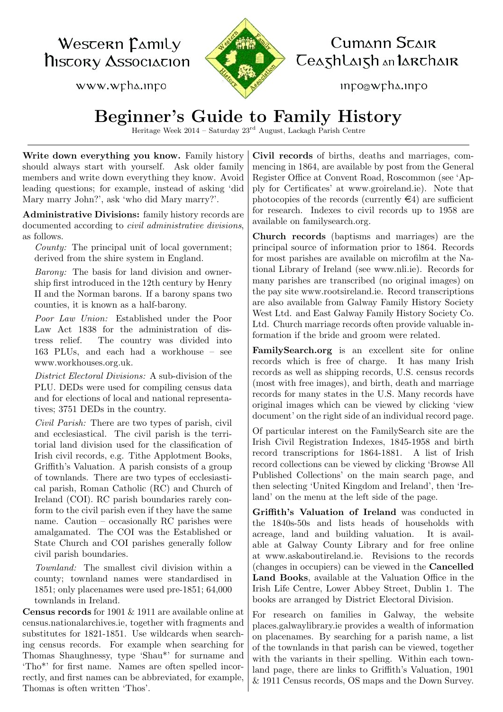Wescern Camily **NISCORY ASSOCIACION** 

www.wpha.inpo



## Cumann Scair Ceashlaish an larchair

mpo@wph∆.mpo

## Beginner's Guide to Family History

Heritage Week 2014 – Saturday 23rd August, Lackagh Parish Centre

Write down everything you know. Family history should always start with yourself. Ask older family members and write down everything they know. Avoid leading questions; for example, instead of asking 'did Mary marry John?', ask 'who did Mary marry?'.

Administrative Divisions: family history records are documented according to civil administrative divisions, as follows.

County: The principal unit of local government; derived from the shire system in England.

Barony: The basis for land division and ownership first introduced in the 12th century by Henry II and the Norman barons. If a barony spans two counties, it is known as a half-barony.

Poor Law Union: Established under the Poor Law Act 1838 for the administration of distress relief. The country was divided into 163 PLUs, and each had a workhouse – see [www.workhouses.org.uk.](http://www.workhouses.org.uk/)

District Electoral Divisions: A sub-division of the PLU. DEDs were used for compiling census data and for elections of local and national representatives; 3751 DEDs in the country.

Civil Parish: There are two types of parish, civil and ecclesiastical. The civil parish is the territorial land division used for the classification of Irish civil records, e.g. Tithe Applotment Books, Griffith's Valuation. A parish consists of a group of townlands. There are two types of ecclesiastical parish, Roman Catholic (RC) and Church of Ireland (COI). RC parish boundaries rarely conform to the civil parish even if they have the same name. Caution – occasionally RC parishes were amalgamated. The COI was the Established or State Church and COI parishes generally follow civil parish boundaries.

Townland: The smallest civil division within a county; townland names were standardised in 1851; only placenames were used pre-1851; 64,000 townlands in Ireland.

Census records for 1901 & 1911 are available online at [census.nationalarchives.ie,](http://www.census.nationalarchives.ie/) together with fragments and substitutes for 1821-1851. Use wildcards when searching census records. For example when searching for Thomas Shaughnessy, type 'Shau\*' for surname and 'Tho\*' for first name. Names are often spelled incorrectly, and first names can be abbreviated, for example, Thomas is often written 'Thos'.

Civil records of births, deaths and marriages, commencing in 1864, are available by post from the General Register Office at Convent Road, Roscommon (see 'Apply for Certificates' at [www.groireland.ie\)](http://www.welfare.ie/en/Pages/General-Register-Office.aspx/). Note that photocopies of the records (currently  $\in 4$ ) are sufficient for research. Indexes to civil records up to 1958 are available on [familysearch.org.](http://www.familysearch.org/search/)

Church records (baptisms and marriages) are the principal source of information prior to 1864. Records for most parishes are available on microfilm at the National Library of Ireland (see [www.nli.ie\)](http://www.nli.ie/). Records for many parishes are transcribed (no original images) on the pay site www.rootsireland.ie. Record transcriptions are also available from Galway Family History Society West Ltd. and East Galway Family History Society Co. Ltd. Church marriage records often provide valuable information if the bride and groom were related.

[FamilySearch.org](http://www.familysearch.org/search/) is an excellent site for online records which is free of charge. It has many Irish records as well as shipping records, U.S. census records (most with free images), and birth, death and marriage records for many states in the U.S. Many records have original images which can be viewed by clicking 'view document' on the right side of an individual record page.

Of particular interest on the FamilySearch site are the Irish Civil Registration Indexes, 1845-1958 and birth record transcriptions for 1864-1881. A list of Irish record collections can be viewed by clicking 'Browse All Published Collections' on the main search page, and then selecting 'United Kingdom and Ireland', then 'Ireland' on the menu at the left side of the page.

Griffith's Valuation of Ireland was conducted in the 1840s-50s and lists heads of households with acreage, land and building valuation. It is available at Galway County Library and for free online at [www.askaboutireland.ie.](http://askaboutireland.ie/griffith-valuation/index.xml) Revisions to the records (changes in occupiers) can be viewed in the Cancelled Land Books, available at the Valuation Office in the Irish Life Centre, Lower Abbey Street, Dublin 1. The books are arranged by District Electoral Division.

For research on families in Galway, the website [places.galwaylibrary.ie](http://places.galwaylibrary.ie/) provides a wealth of information on placenames. By searching for a parish name, a list of the townlands in that parish can be viewed, together with the variants in their spelling. Within each townland page, there are links to Griffith's Valuation, 1901 & 1911 Census records, OS maps and the Down Survey.